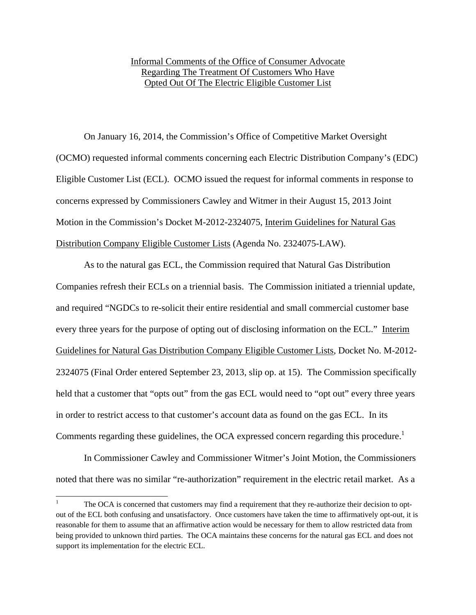## Informal Comments of the Office of Consumer Advocate Regarding The Treatment Of Customers Who Have Opted Out Of The Electric Eligible Customer List

On January 16, 2014, the Commission's Office of Competitive Market Oversight (OCMO) requested informal comments concerning each Electric Distribution Company's (EDC) Eligible Customer List (ECL). OCMO issued the request for informal comments in response to concerns expressed by Commissioners Cawley and Witmer in their August 15, 2013 Joint Motion in the Commission's Docket M-2012-2324075, Interim Guidelines for Natural Gas Distribution Company Eligible Customer Lists (Agenda No. 2324075-LAW).

As to the natural gas ECL, the Commission required that Natural Gas Distribution Companies refresh their ECLs on a triennial basis. The Commission initiated a triennial update, and required "NGDCs to re-solicit their entire residential and small commercial customer base every three years for the purpose of opting out of disclosing information on the ECL." Interim Guidelines for Natural Gas Distribution Company Eligible Customer Lists, Docket No. M-2012- 2324075 (Final Order entered September 23, 2013, slip op. at 15). The Commission specifically held that a customer that "opts out" from the gas ECL would need to "opt out" every three years in order to restrict access to that customer's account data as found on the gas ECL. In its Comments regarding these guidelines, the OCA expressed concern regarding this procedure.<sup>1</sup>

In Commissioner Cawley and Commissioner Witmer's Joint Motion, the Commissioners noted that there was no similar "re-authorization" requirement in the electric retail market. As a

<sup>&</sup>lt;sup>1</sup> The OCA is concerned that customers may find a requirement that they re-authorize their decision to optout of the ECL both confusing and unsatisfactory. Once customers have taken the time to affirmatively opt-out, it is reasonable for them to assume that an affirmative action would be necessary for them to allow restricted data from being provided to unknown third parties. The OCA maintains these concerns for the natural gas ECL and does not support its implementation for the electric ECL.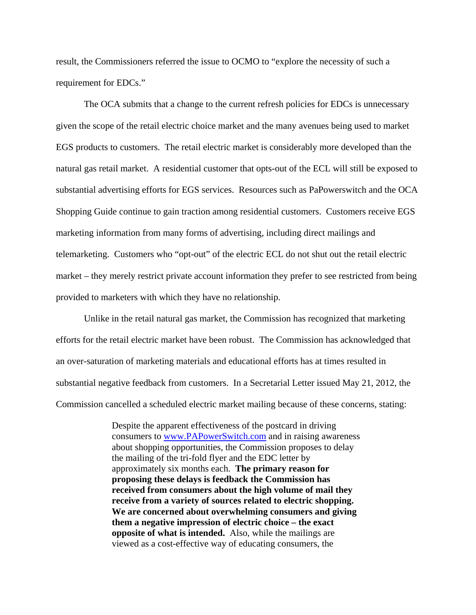result, the Commissioners referred the issue to OCMO to "explore the necessity of such a requirement for EDCs."

The OCA submits that a change to the current refresh policies for EDCs is unnecessary given the scope of the retail electric choice market and the many avenues being used to market EGS products to customers. The retail electric market is considerably more developed than the natural gas retail market. A residential customer that opts-out of the ECL will still be exposed to substantial advertising efforts for EGS services. Resources such as PaPowerswitch and the OCA Shopping Guide continue to gain traction among residential customers. Customers receive EGS marketing information from many forms of advertising, including direct mailings and telemarketing. Customers who "opt-out" of the electric ECL do not shut out the retail electric market – they merely restrict private account information they prefer to see restricted from being provided to marketers with which they have no relationship.

Unlike in the retail natural gas market, the Commission has recognized that marketing efforts for the retail electric market have been robust. The Commission has acknowledged that an over-saturation of marketing materials and educational efforts has at times resulted in substantial negative feedback from customers. In a Secretarial Letter issued May 21, 2012, the Commission cancelled a scheduled electric market mailing because of these concerns, stating:

> Despite the apparent effectiveness of the postcard in driving consumers to www.PAPowerSwitch.com and in raising awareness about shopping opportunities, the Commission proposes to delay the mailing of the tri-fold flyer and the EDC letter by approximately six months each. **The primary reason for proposing these delays is feedback the Commission has received from consumers about the high volume of mail they receive from a variety of sources related to electric shopping. We are concerned about overwhelming consumers and giving them a negative impression of electric choice – the exact opposite of what is intended.** Also, while the mailings are viewed as a cost-effective way of educating consumers, the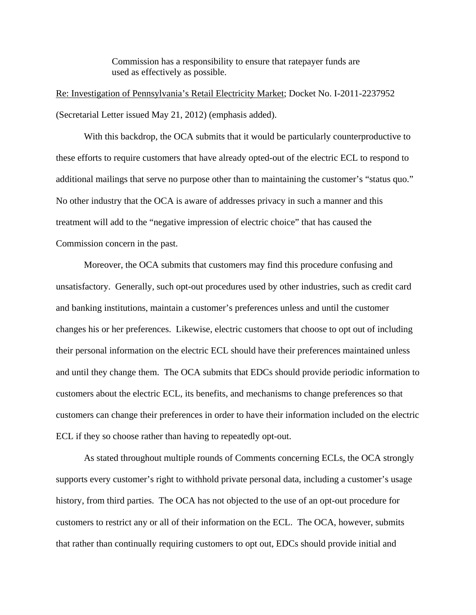Commission has a responsibility to ensure that ratepayer funds are used as effectively as possible.

Re: Investigation of Pennsylvania's Retail Electricity Market; Docket No. I-2011-2237952 (Secretarial Letter issued May 21, 2012) (emphasis added).

With this backdrop, the OCA submits that it would be particularly counterproductive to these efforts to require customers that have already opted-out of the electric ECL to respond to additional mailings that serve no purpose other than to maintaining the customer's "status quo." No other industry that the OCA is aware of addresses privacy in such a manner and this treatment will add to the "negative impression of electric choice" that has caused the Commission concern in the past.

Moreover, the OCA submits that customers may find this procedure confusing and unsatisfactory. Generally, such opt-out procedures used by other industries, such as credit card and banking institutions, maintain a customer's preferences unless and until the customer changes his or her preferences. Likewise, electric customers that choose to opt out of including their personal information on the electric ECL should have their preferences maintained unless and until they change them. The OCA submits that EDCs should provide periodic information to customers about the electric ECL, its benefits, and mechanisms to change preferences so that customers can change their preferences in order to have their information included on the electric ECL if they so choose rather than having to repeatedly opt-out.

 As stated throughout multiple rounds of Comments concerning ECLs, the OCA strongly supports every customer's right to withhold private personal data, including a customer's usage history, from third parties. The OCA has not objected to the use of an opt-out procedure for customers to restrict any or all of their information on the ECL. The OCA, however, submits that rather than continually requiring customers to opt out, EDCs should provide initial and